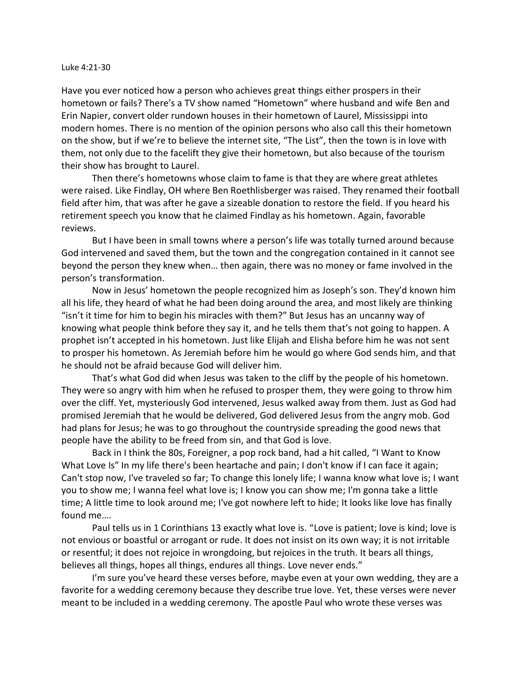## Luke 4:21-30

Have you ever noticed how a person who achieves great things either prospers in their hometown or fails? There's a TV show named "Hometown" where husband and wife Ben and Erin Napier, convert older rundown houses in their hometown of Laurel, Mississippi into modern homes. There is no mention of the opinion persons who also call this their hometown on the show, but if we're to believe the internet site, "The List", then the town is in love with them, not only due to the facelift they give their hometown, but also because of the tourism their show has brought to Laurel.

Then there's hometowns whose claim to fame is that they are where great athletes were raised. Like Findlay, OH where Ben Roethlisberger was raised. They renamed their football field after him, that was after he gave a sizeable donation to restore the field. If you heard his retirement speech you know that he claimed Findlay as his hometown. Again, favorable reviews.

But I have been in small towns where a person's life was totally turned around because God intervened and saved them, but the town and the congregation contained in it cannot see beyond the person they knew when… then again, there was no money or fame involved in the person's transformation.

Now in Jesus' hometown the people recognized him as Joseph's son. They'd known him all his life, they heard of what he had been doing around the area, and most likely are thinking "isn't it time for him to begin his miracles with them?" But Jesus has an uncanny way of knowing what people think before they say it, and he tells them that's not going to happen. A prophet isn't accepted in his hometown. Just like Elijah and Elisha before him he was not sent to prosper his hometown. As Jeremiah before him he would go where God sends him, and that he should not be afraid because God will deliver him.

That's what God did when Jesus was taken to the cliff by the people of his hometown. They were so angry with him when he refused to prosper them, they were going to throw him over the cliff. Yet, mysteriously God intervened, Jesus walked away from them. Just as God had promised Jeremiah that he would be delivered, God delivered Jesus from the angry mob. God had plans for Jesus; he was to go throughout the countryside spreading the good news that people have the ability to be freed from sin, and that God is love.

Back in I think the 80s, Foreigner, a pop rock band, had a hit called, "I Want to Know What Love Is" In my life there's been heartache and pain; I don't know if I can face it again; Can't stop now, I've traveled so far; To change this lonely life; I wanna know what love is; I want you to show me; I wanna feel what love is; I know you can show me; I'm gonna take a little time; A little time to look around me; I've got nowhere left to hide; It looks like love has finally found me….

Paul tells us in 1 Corinthians 13 exactly what love is. "Love is patient; love is kind; love is not envious or boastful or arrogant or rude. It does not insist on its own way; it is not irritable or resentful; it does not rejoice in wrongdoing, but rejoices in the truth. It bears all things, believes all things, hopes all things, endures all things. Love never ends."

I'm sure you've heard these verses before, maybe even at your own wedding, they are a favorite for a wedding ceremony because they describe true love. Yet, these verses were never meant to be included in a wedding ceremony. The apostle Paul who wrote these verses was